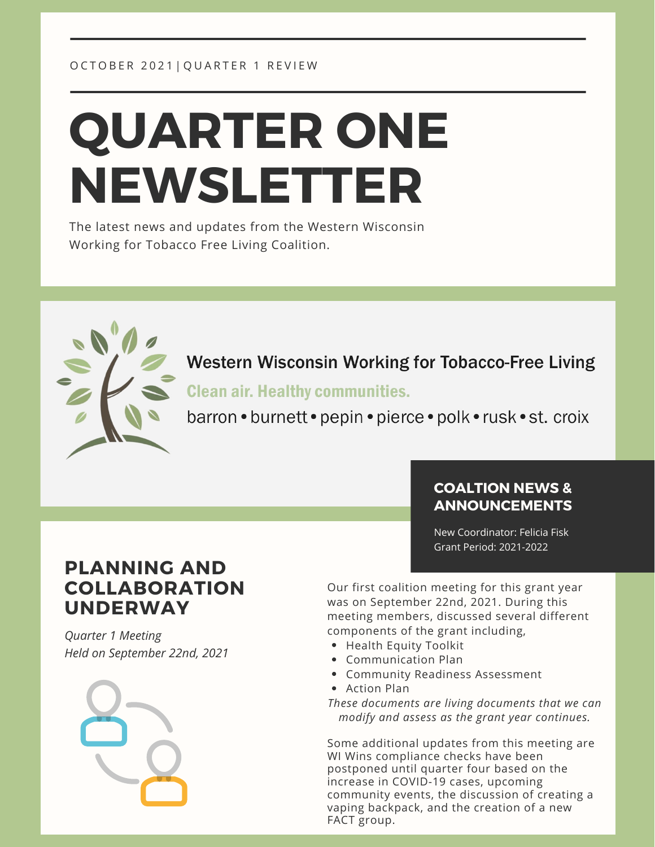# **QUARTER ONE NEWSLETTER**

The latest news and updates from the Western Wisconsin Working for Tobacco Free Living Coalition.



**Western Wisconsin Working for Tobacco-Free Living** 

**Clean air. Healthy communities.** 

barron • burnett • pepin • pierce • polk • rusk • st. croix

## **PLANNING AND COLLABORATION UNDERWAY**

*Quarter 1 Meeting Held on September 22nd, 2021*



## **COALTION NEWS & ANNOUNCEMENTS**

New Coordinator: Felicia Fisk Grant Period: 2021-2022

Our first coalition meeting for this grant year was on September 22nd, 2021. During this meeting members, discussed several different components of the grant including,

- Health Equity Toolkit
- Communication Plan
- Community Readiness Assessment
- Action Plan

*These documents are living documents that we can modify and assess as the grant year continues.*

Some additional updates from this meeting are WI Wins compliance checks have been postponed until quarter four based on the increase in COVID-19 cases, upcoming community events, the discussion of creating a vaping backpack, and the creation of a new FACT group.